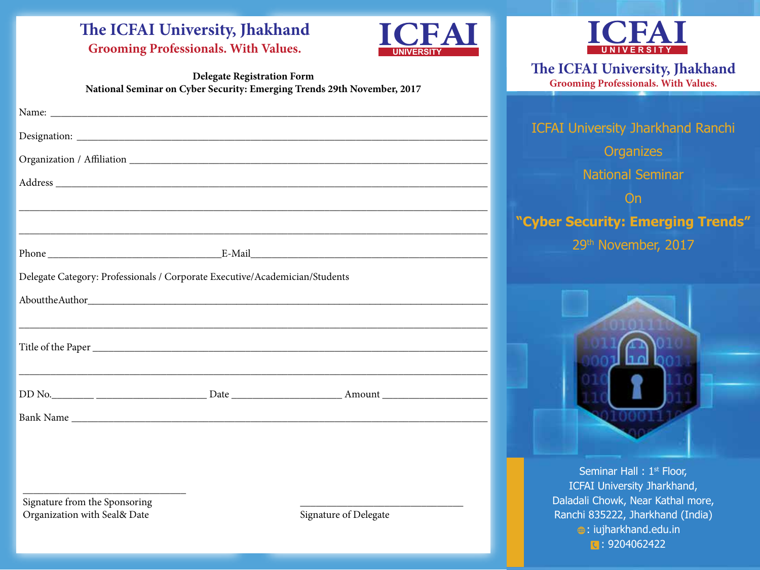# The ICFAI University, Jhakhand<br> **Grooming Professionals.** With Values.



## **Delegate Registration Form National Seminar on Cyber Security: Emerging Trends 29th November, 2017**

| ,我们也不能在这里的人,我们也不能在这里的人,我们也不能在这里的人,我们也不能在这里的人,我们也不能在这里的人,我们也不能在这里的人,我们也不能在这里的人,我们也                              |  | ,我们就会在这里的,我们就会在这里的人,我们就会在这里的人,我们就会在这里的人,我们就会在这里的人,我们就会在这里的人,我们就会在这里的人,我们就会在这里的人,<br>第251章 我们的人,我们就会在这里的人,我们就会在这里的人,我们就会在这里的人,我们就会在这里的人,我们就会在这里的人,我们就会在这里的人,我们就会在这里的人 |  |  |  |
|----------------------------------------------------------------------------------------------------------------|--|----------------------------------------------------------------------------------------------------------------------------------------------------------------------|--|--|--|
|                                                                                                                |  |                                                                                                                                                                      |  |  |  |
|                                                                                                                |  |                                                                                                                                                                      |  |  |  |
| Delegate Category: Professionals / Corporate Executive/Academician/Students                                    |  |                                                                                                                                                                      |  |  |  |
| About the Author has been also been also been also been also been also been also been also been also been also |  |                                                                                                                                                                      |  |  |  |
|                                                                                                                |  |                                                                                                                                                                      |  |  |  |
|                                                                                                                |  |                                                                                                                                                                      |  |  |  |
|                                                                                                                |  |                                                                                                                                                                      |  |  |  |
|                                                                                                                |  |                                                                                                                                                                      |  |  |  |
|                                                                                                                |  |                                                                                                                                                                      |  |  |  |
|                                                                                                                |  |                                                                                                                                                                      |  |  |  |
|                                                                                                                |  |                                                                                                                                                                      |  |  |  |
|                                                                                                                |  |                                                                                                                                                                      |  |  |  |
| Signature from the Sponsoring                                                                                  |  |                                                                                                                                                                      |  |  |  |
| Organization with Seal& Date                                                                                   |  | Signature of Delegate                                                                                                                                                |  |  |  |



**e ICFAI University, Jhakhand Grooming Professionals. With Values.**

ICFAI University Jharkhand Ranchi **Organizes** National Seminar **On "Cyber Security: Emerging Trends"** 29th November, 2017



Seminar Hall: 1<sup>st</sup> Floor, ICFAI University Jharkhand, Daladali Chowk, Near Kathal more, Ranchi 835222, Jharkhand (India) **a**: iujharkhand.edu.in **C: 9204062422**